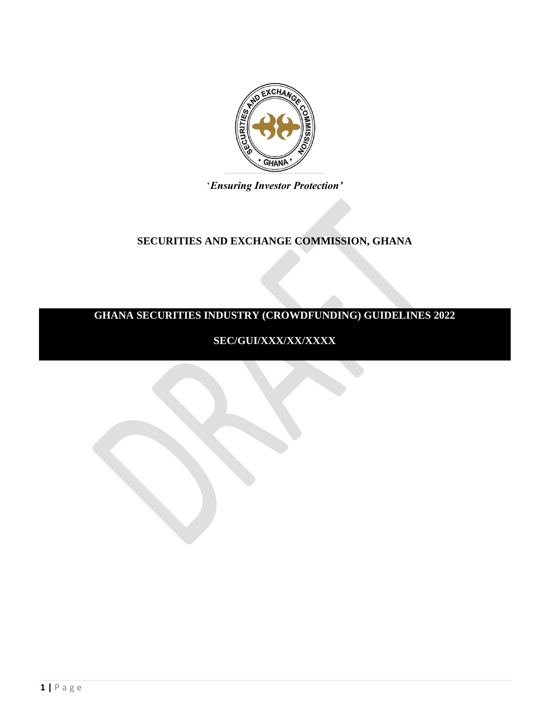

## '*Ensuring Investor Protection'*

## **SECURITIES AND EXCHANGE COMMISSION, GHANA**

# **GHANA SECURITIES INDUSTRY (CROWDFUNDING) GUIDELINES 2022**

# **SEC/GUI/XXX/XX/XXXX**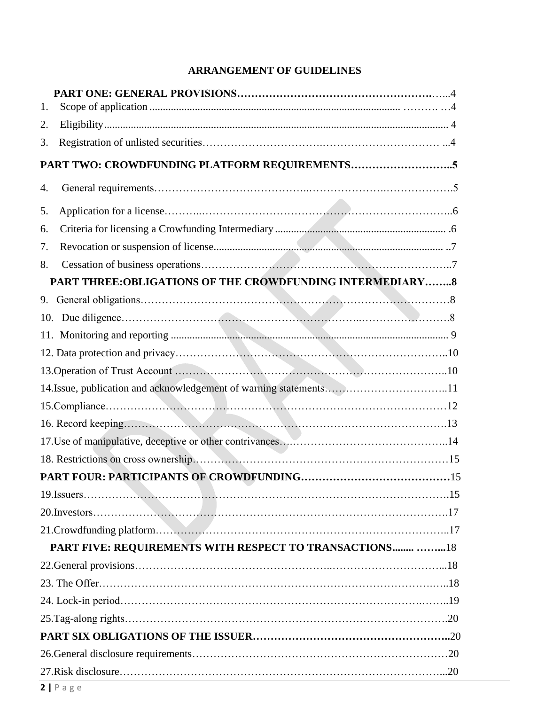# **ARRANGEMENT OF GUIDELINES**

| 1. |                                                                    |  |  |  |
|----|--------------------------------------------------------------------|--|--|--|
| 2. |                                                                    |  |  |  |
| 3. |                                                                    |  |  |  |
|    |                                                                    |  |  |  |
| 4. |                                                                    |  |  |  |
| 5. |                                                                    |  |  |  |
| 6. |                                                                    |  |  |  |
| 7. |                                                                    |  |  |  |
| 8. |                                                                    |  |  |  |
|    | PART THREE:OBLIGATIONS OF THE CROWDFUNDING INTERMEDIARY8           |  |  |  |
| 9. |                                                                    |  |  |  |
|    |                                                                    |  |  |  |
|    |                                                                    |  |  |  |
|    |                                                                    |  |  |  |
|    |                                                                    |  |  |  |
|    | 14. Issue, publication and acknowledgement of warning statements11 |  |  |  |
|    |                                                                    |  |  |  |
|    |                                                                    |  |  |  |
|    |                                                                    |  |  |  |
|    |                                                                    |  |  |  |
|    |                                                                    |  |  |  |
|    |                                                                    |  |  |  |
|    |                                                                    |  |  |  |
|    |                                                                    |  |  |  |
|    | PART FIVE: REQUIREMENTS WITH RESPECT TO TRANSACTIONS  18           |  |  |  |
|    |                                                                    |  |  |  |
|    |                                                                    |  |  |  |
|    |                                                                    |  |  |  |
|    |                                                                    |  |  |  |
|    |                                                                    |  |  |  |
|    |                                                                    |  |  |  |
|    |                                                                    |  |  |  |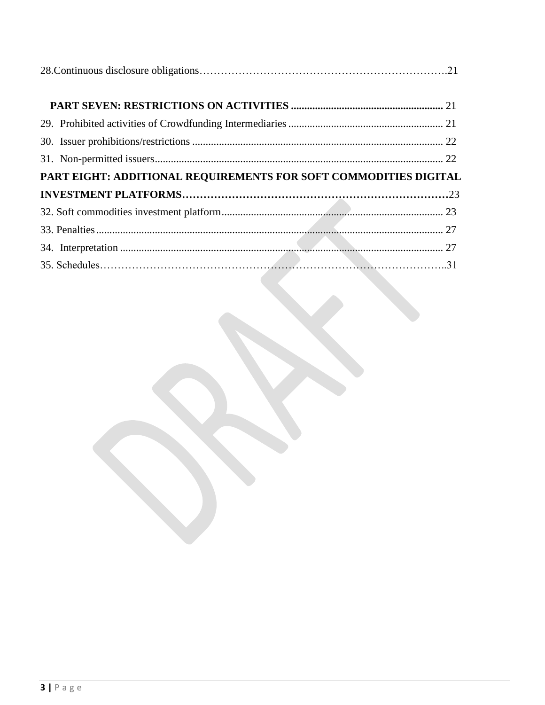| PART EIGHT: ADDITIONAL REQUIREMENTS FOR SOFT COMMODITIES DIGITAL |  |  |  |  |
|------------------------------------------------------------------|--|--|--|--|
|                                                                  |  |  |  |  |
|                                                                  |  |  |  |  |
|                                                                  |  |  |  |  |
|                                                                  |  |  |  |  |
|                                                                  |  |  |  |  |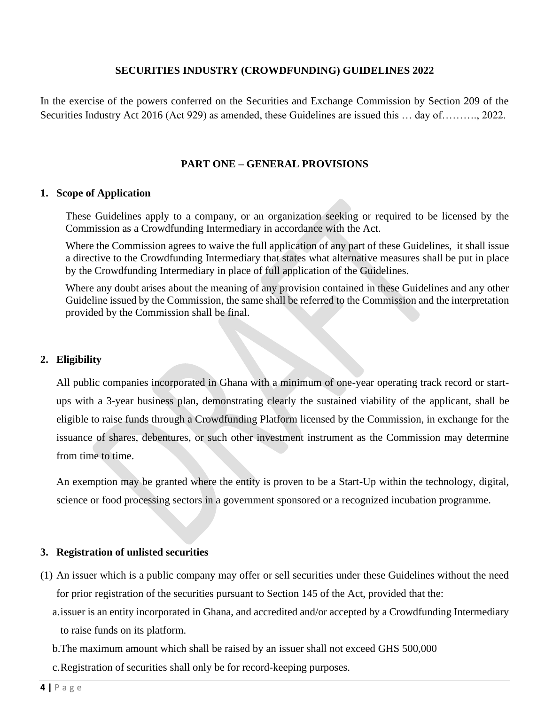## **SECURITIES INDUSTRY (CROWDFUNDING) GUIDELINES 2022**

In the exercise of the powers conferred on the Securities and Exchange Commission by Section 209 of the Securities Industry Act 2016 (Act 929) as amended, these Guidelines are issued this … day of………., 2022.

## **PART ONE – GENERAL PROVISIONS**

#### **1. Scope of Application**

These Guidelines apply to a company, or an organization seeking or required to be licensed by the Commission as a Crowdfunding Intermediary in accordance with the Act.

Where the Commission agrees to waive the full application of any part of these Guidelines, it shall issue a directive to the Crowdfunding Intermediary that states what alternative measures shall be put in place by the Crowdfunding Intermediary in place of full application of the Guidelines.

Where any doubt arises about the meaning of any provision contained in these Guidelines and any other Guideline issued by the Commission, the same shall be referred to the Commission and the interpretation provided by the Commission shall be final.

## **2. Eligibility**

All public companies incorporated in Ghana with a minimum of one-year operating track record or startups with a 3-year business plan, demonstrating clearly the sustained viability of the applicant, shall be eligible to raise funds through a Crowdfunding Platform licensed by the Commission, in exchange for the issuance of shares, debentures, or such other investment instrument as the Commission may determine from time to time.

An exemption may be granted where the entity is proven to be a Start-Up within the technology, digital, science or food processing sectors in a government sponsored or a recognized incubation programme.

#### **3. Registration of unlisted securities**

- (1) An issuer which is a public company may offer or sell securities under these Guidelines without the need for prior registration of the securities pursuant to Section 145 of the Act, provided that the:
	- a.issuer is an entity incorporated in Ghana, and accredited and/or accepted by a Crowdfunding Intermediary to raise funds on its platform.

b.The maximum amount which shall be raised by an issuer shall not exceed GHS 500,000

c.Registration of securities shall only be for record-keeping purposes.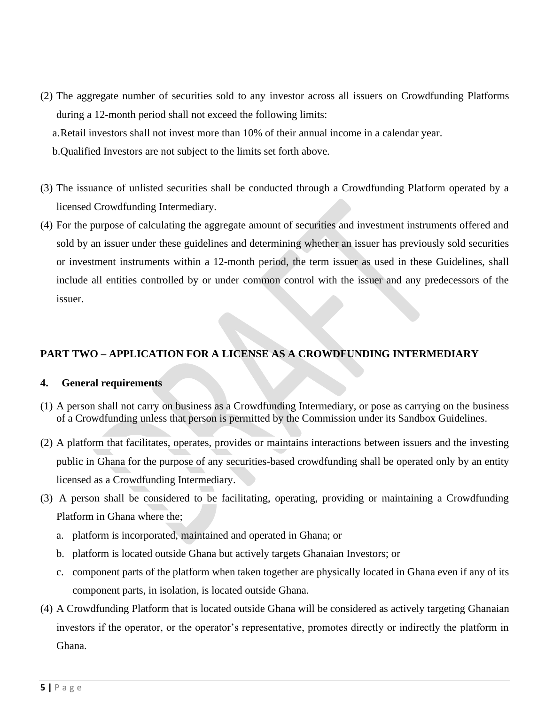(2) The aggregate number of securities sold to any investor across all issuers on Crowdfunding Platforms during a 12-month period shall not exceed the following limits:

a.Retail investors shall not invest more than 10% of their annual income in a calendar year.

b.Qualified Investors are not subject to the limits set forth above.

- (3) The issuance of unlisted securities shall be conducted through a Crowdfunding Platform operated by a licensed Crowdfunding Intermediary.
- (4) For the purpose of calculating the aggregate amount of securities and investment instruments offered and sold by an issuer under these guidelines and determining whether an issuer has previously sold securities or investment instruments within a 12-month period, the term issuer as used in these Guidelines, shall include all entities controlled by or under common control with the issuer and any predecessors of the issuer.

## **PART TWO – APPLICATION FOR A LICENSE AS A CROWDFUNDING INTERMEDIARY**

## **4. General requirements**

- (1) A person shall not carry on business as a Crowdfunding Intermediary, or pose as carrying on the business of a Crowdfunding unless that person is permitted by the Commission under its Sandbox Guidelines.
- (2) A platform that facilitates, operates, provides or maintains interactions between issuers and the investing public in Ghana for the purpose of any securities-based crowdfunding shall be operated only by an entity licensed as a Crowdfunding Intermediary.
- (3) A person shall be considered to be facilitating, operating, providing or maintaining a Crowdfunding Platform in Ghana where the;
	- a. platform is incorporated, maintained and operated in Ghana; or
	- b. platform is located outside Ghana but actively targets Ghanaian Investors; or
	- c. component parts of the platform when taken together are physically located in Ghana even if any of its component parts, in isolation, is located outside Ghana.
- (4) A Crowdfunding Platform that is located outside Ghana will be considered as actively targeting Ghanaian investors if the operator, or the operator's representative, promotes directly or indirectly the platform in Ghana.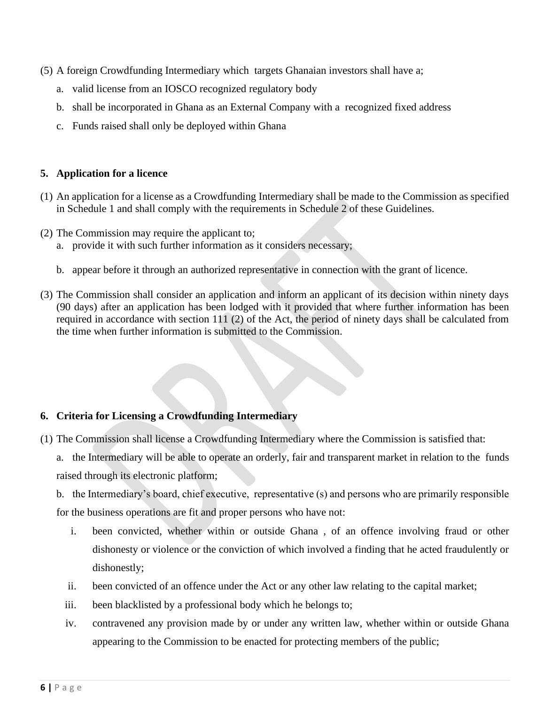- (5) A foreign Crowdfunding Intermediary which targets Ghanaian investors shall have a;
	- a. valid license from an IOSCO recognized regulatory body
	- b. shall be incorporated in Ghana as an External Company with a recognized fixed address
	- c. Funds raised shall only be deployed within Ghana

## **5. Application for a licence**

- (1) An application for a license as a Crowdfunding Intermediary shall be made to the Commission as specified in Schedule 1 and shall comply with the requirements in Schedule 2 of these Guidelines.
- (2) The Commission may require the applicant to;
	- a. provide it with such further information as it considers necessary;
	- b. appear before it through an authorized representative in connection with the grant of licence.
- (3) The Commission shall consider an application and inform an applicant of its decision within ninety days (90 days) after an application has been lodged with it provided that where further information has been required in accordance with section 111 (2) of the Act, the period of ninety days shall be calculated from the time when further information is submitted to the Commission.

## **6. Criteria for Licensing a Crowdfunding Intermediary**

- (1) The Commission shall license a Crowdfunding Intermediary where the Commission is satisfied that:
	- a. the Intermediary will be able to operate an orderly, fair and transparent market in relation to the funds raised through its electronic platform;
	- b. the Intermediary's board, chief executive, representative (s) and persons who are primarily responsible for the business operations are fit and proper persons who have not:
		- i. been convicted, whether within or outside Ghana , of an offence involving fraud or other dishonesty or violence or the conviction of which involved a finding that he acted fraudulently or dishonestly;
		- ii. been convicted of an offence under the Act or any other law relating to the capital market;
		- iii. been blacklisted by a professional body which he belongs to;
		- iv. contravened any provision made by or under any written law, whether within or outside Ghana appearing to the Commission to be enacted for protecting members of the public;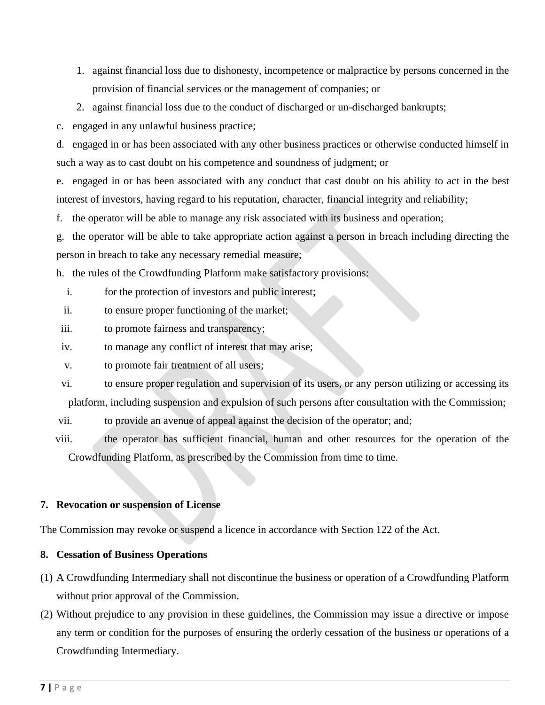- 1. against financial loss due to dishonesty, incompetence or malpractice by persons concerned in the provision of financial services or the management of companies; or
- 2. against financial loss due to the conduct of discharged or un-discharged bankrupts;

c. engaged in any unlawful business practice;

d. engaged in or has been associated with any other business practices or otherwise conducted himself in such a way as to cast doubt on his competence and soundness of judgment; or

e. engaged in or has been associated with any conduct that cast doubt on his ability to act in the best interest of investors, having regard to his reputation, character, financial integrity and reliability;

f. the operator will be able to manage any risk associated with its business and operation;

g. the operator will be able to take appropriate action against a person in breach including directing the person in breach to take any necessary remedial measure;

h. the rules of the Crowdfunding Platform make satisfactory provisions:

- i. for the protection of investors and public interest;
- ii. to ensure proper functioning of the market;
- iii. to promote fairness and transparency;
- iv. to manage any conflict of interest that may arise;
- v. to promote fair treatment of all users;
- vi. to ensure proper regulation and supervision of its users, or any person utilizing or accessing its platform, including suspension and expulsion of such persons after consultation with the Commission;

vii. to provide an avenue of appeal against the decision of the operator; and;

viii. the operator has sufficient financial, human and other resources for the operation of the Crowdfunding Platform, as prescribed by the Commission from time to time.

#### **7. Revocation or suspension of License**

The Commission may revoke or suspend a licence in accordance with Section 122 of the Act.

## **8. Cessation of Business Operations**

- (1) A Crowdfunding Intermediary shall not discontinue the business or operation of a Crowdfunding Platform without prior approval of the Commission.
- (2) Without prejudice to any provision in these guidelines, the Commission may issue a directive or impose any term or condition for the purposes of ensuring the orderly cessation of the business or operations of a Crowdfunding Intermediary.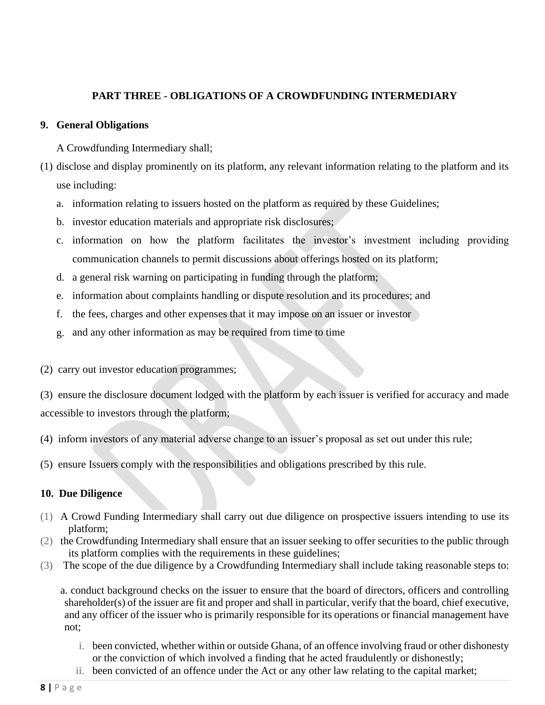## **PART THREE - OBLIGATIONS OF A CROWDFUNDING INTERMEDIARY**

## **9. General Obligations**

A Crowdfunding Intermediary shall;

- (1) disclose and display prominently on its platform, any relevant information relating to the platform and its use including:
	- a. information relating to issuers hosted on the platform as required by these Guidelines;
	- b. investor education materials and appropriate risk disclosures;
	- c. information on how the platform facilitates the investor's investment including providing communication channels to permit discussions about offerings hosted on its platform;
	- d. a general risk warning on participating in funding through the platform;
	- e. information about complaints handling or dispute resolution and its procedures; and
	- f. the fees, charges and other expenses that it may impose on an issuer or investor
	- g. and any other information as may be required from time to time

(2) carry out investor education programmes;

(3) ensure the disclosure document lodged with the platform by each issuer is verified for accuracy and made accessible to investors through the platform;

- (4) inform investors of any material adverse change to an issuer's proposal as set out under this rule;
- (5) ensure Issuers comply with the responsibilities and obligations prescribed by this rule.

## **10. Due Diligence**

- (1) A Crowd Funding Intermediary shall carry out due diligence on prospective issuers intending to use its platform;
- (2) the Crowdfunding Intermediary shall ensure that an issuer seeking to offer securities to the public through its platform complies with the requirements in these guidelines;
- (3) The scope of the due diligence by a Crowdfunding Intermediary shall include taking reasonable steps to:

a. conduct background checks on the issuer to ensure that the board of directors, officers and controlling shareholder(s) of the issuer are fit and proper and shall in particular, verify that the board, chief executive, and any officer of the issuer who is primarily responsible for its operations or financial management have not;

- i. been convicted, whether within or outside Ghana, of an offence involving fraud or other dishonesty or the conviction of which involved a finding that he acted fraudulently or dishonestly;
- ii. been convicted of an offence under the Act or any other law relating to the capital market;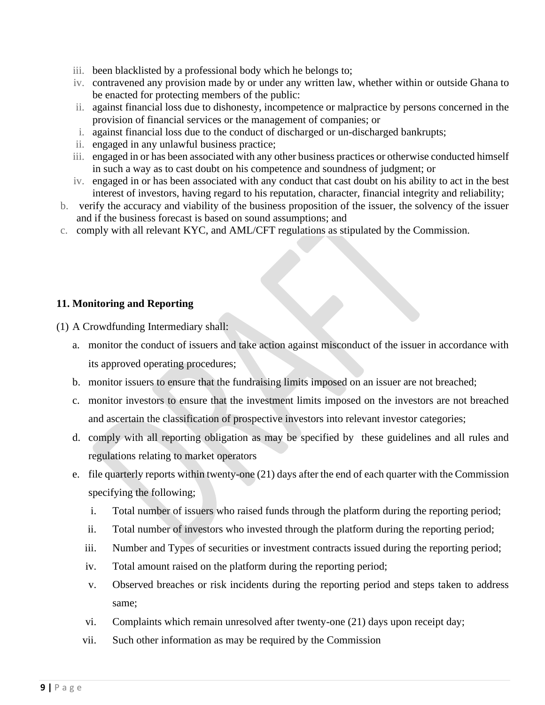- iii. been blacklisted by a professional body which he belongs to;
- iv. contravened any provision made by or under any written law, whether within or outside Ghana to be enacted for protecting members of the public:
- ii. against financial loss due to dishonesty, incompetence or malpractice by persons concerned in the provision of financial services or the management of companies; or
- i. against financial loss due to the conduct of discharged or un-discharged bankrupts;
- ii. engaged in any unlawful business practice;
- iii. engaged in or has been associated with any other business practices or otherwise conducted himself in such a way as to cast doubt on his competence and soundness of judgment; or
- iv. engaged in or has been associated with any conduct that cast doubt on his ability to act in the best interest of investors, having regard to his reputation, character, financial integrity and reliability;
- b. verify the accuracy and viability of the business proposition of the issuer, the solvency of the issuer and if the business forecast is based on sound assumptions; and
- c. comply with all relevant KYC, and AML/CFT regulations as stipulated by the Commission.

## **11. Monitoring and Reporting**

(1) A Crowdfunding Intermediary shall:

- a. monitor the conduct of issuers and take action against misconduct of the issuer in accordance with its approved operating procedures;
- b. monitor issuers to ensure that the fundraising limits imposed on an issuer are not breached;
- c. monitor investors to ensure that the investment limits imposed on the investors are not breached and ascertain the classification of prospective investors into relevant investor categories;
- d. comply with all reporting obligation as may be specified by these guidelines and all rules and regulations relating to market operators
- e. file quarterly reports within twenty-one (21) days after the end of each quarter with the Commission specifying the following;
	- i. Total number of issuers who raised funds through the platform during the reporting period;
	- ii. Total number of investors who invested through the platform during the reporting period;
	- iii. Number and Types of securities or investment contracts issued during the reporting period;
	- iv. Total amount raised on the platform during the reporting period;
	- v. Observed breaches or risk incidents during the reporting period and steps taken to address same;
	- vi. Complaints which remain unresolved after twenty-one (21) days upon receipt day;
	- vii. Such other information as may be required by the Commission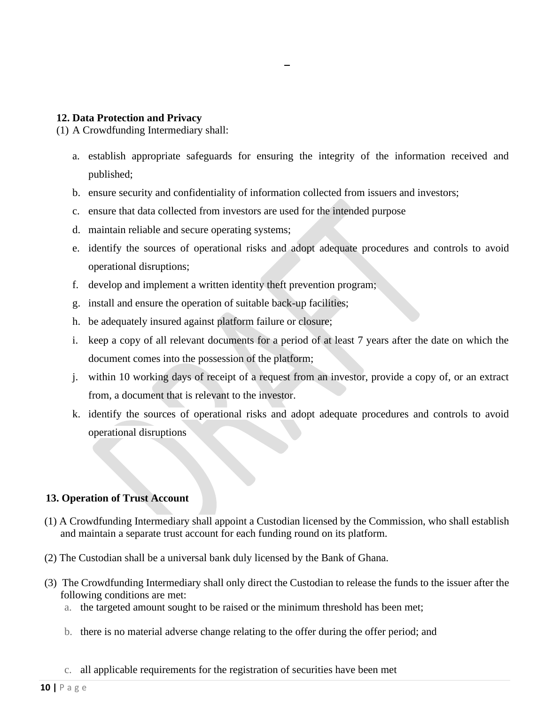#### **12. Data Protection and Privacy**

(1) A Crowdfunding Intermediary shall:

- a. establish appropriate safeguards for ensuring the integrity of the information received and published;
- b. ensure security and confidentiality of information collected from issuers and investors;
- c. ensure that data collected from investors are used for the intended purpose
- d. maintain reliable and secure operating systems;
- e. identify the sources of operational risks and adopt adequate procedures and controls to avoid operational disruptions;
- f. develop and implement a written identity theft prevention program;
- g. install and ensure the operation of suitable back-up facilities;
- h. be adequately insured against platform failure or closure;
- i. keep a copy of all relevant documents for a period of at least 7 years after the date on which the document comes into the possession of the platform;
- j. within 10 working days of receipt of a request from an investor, provide a copy of, or an extract from, a document that is relevant to the investor.
- k. identify the sources of operational risks and adopt adequate procedures and controls to avoid operational disruptions

## **13. Operation of Trust Account**

- (1) A Crowdfunding Intermediary shall appoint a Custodian licensed by the Commission, who shall establish and maintain a separate trust account for each funding round on its platform.
- (2) The Custodian shall be a universal bank duly licensed by the Bank of Ghana.
- (3) The Crowdfunding Intermediary shall only direct the Custodian to release the funds to the issuer after the following conditions are met:
	- a. the targeted amount sought to be raised or the minimum threshold has been met;
	- b. there is no material adverse change relating to the offer during the offer period; and
	- c. all applicable requirements for the registration of securities have been met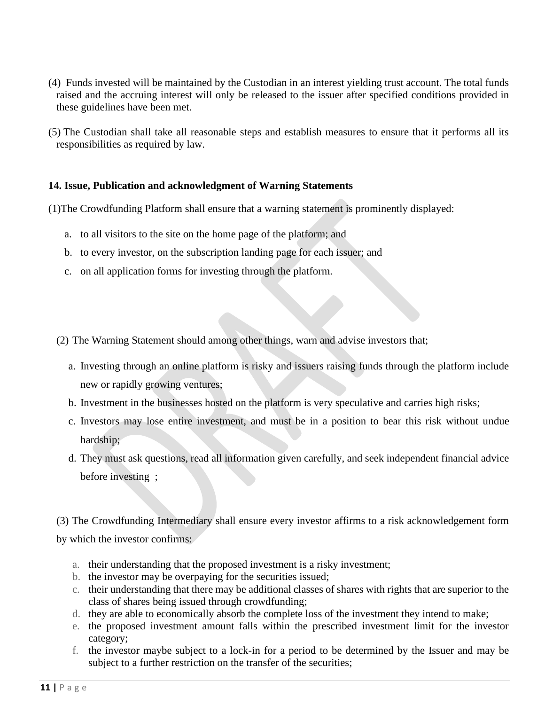- (4) Funds invested will be maintained by the Custodian in an interest yielding trust account. The total funds raised and the accruing interest will only be released to the issuer after specified conditions provided in these guidelines have been met.
- (5) The Custodian shall take all reasonable steps and establish measures to ensure that it performs all its responsibilities as required by law.

## **14. Issue, Publication and acknowledgment of Warning Statements**

(1)The Crowdfunding Platform shall ensure that a warning statement is prominently displayed:

- a. to all visitors to the site on the home page of the platform; and
- b. to every investor, on the subscription landing page for each issuer; and
- c. on all application forms for investing through the platform.

(2) The Warning Statement should among other things, warn and advise investors that;

- a. Investing through an online platform is risky and issuers raising funds through the platform include new or rapidly growing ventures;
- b. Investment in the businesses hosted on the platform is very speculative and carries high risks;
- c. Investors may lose entire investment, and must be in a position to bear this risk without undue hardship;
- d. They must ask questions, read all information given carefully, and seek independent financial advice before investing ;

(3) The Crowdfunding Intermediary shall ensure every investor affirms to a risk acknowledgement form by which the investor confirms:

- a. their understanding that the proposed investment is a risky investment;
- b. the investor may be overpaying for the securities issued;
- c. their understanding that there may be additional classes of shares with rights that are superior to the class of shares being issued through crowdfunding;
- d. they are able to economically absorb the complete loss of the investment they intend to make;
- e. the proposed investment amount falls within the prescribed investment limit for the investor category;
- f. the investor maybe subject to a lock-in for a period to be determined by the Issuer and may be subject to a further restriction on the transfer of the securities;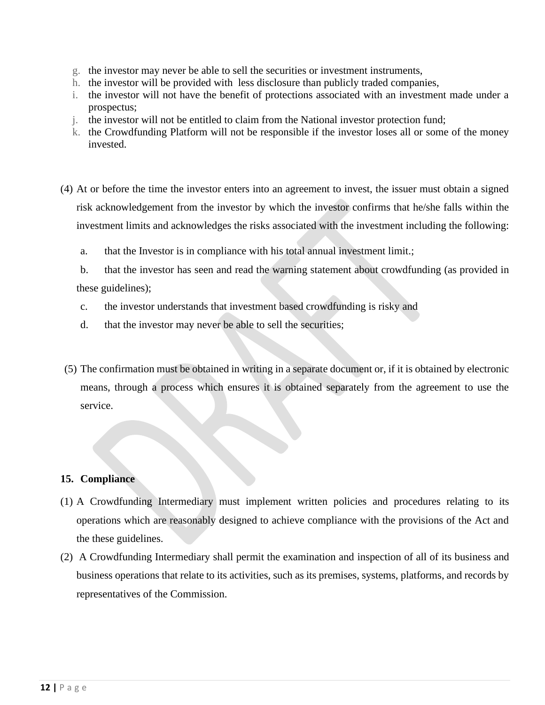- g. the investor may never be able to sell the securities or investment instruments,
- h. the investor will be provided with less disclosure than publicly traded companies,
- i. the investor will not have the benefit of protections associated with an investment made under a prospectus;
- j. the investor will not be entitled to claim from the National investor protection fund;
- k. the Crowdfunding Platform will not be responsible if the investor loses all or some of the money invested.
- (4) At or before the time the investor enters into an agreement to invest, the issuer must obtain a signed risk acknowledgement from the investor by which the investor confirms that he/she falls within the investment limits and acknowledges the risks associated with the investment including the following:
	- a. that the Investor is in compliance with his total annual investment limit.;
	- b. that the investor has seen and read the warning statement about crowdfunding (as provided in these guidelines);
	- c. the investor understands that investment based crowdfunding is risky and
	- d. that the investor may never be able to sell the securities;
- (5) The confirmation must be obtained in writing in a separate document or, if it is obtained by electronic means, through a process which ensures it is obtained separately from the agreement to use the service.

## **15. Compliance**

- (1) A Crowdfunding Intermediary must implement written policies and procedures relating to its operations which are reasonably designed to achieve compliance with the provisions of the Act and the these guidelines.
- (2) A Crowdfunding Intermediary shall permit the examination and inspection of all of its business and business operations that relate to its activities, such as its premises, systems, platforms, and records by representatives of the Commission.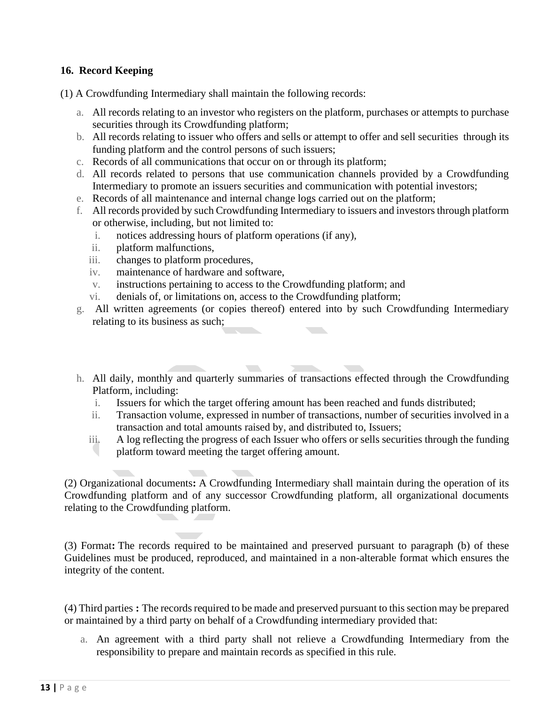## **16. Record Keeping**

(1) A Crowdfunding Intermediary shall maintain the following records:

- a. All records relating to an investor who registers on the platform, purchases or attempts to purchase securities through its Crowdfunding platform;
- b. All records relating to issuer who offers and sells or attempt to offer and sell securities through its funding platform and the control persons of such issuers;
- c. Records of all communications that occur on or through its platform;
- d. All records related to persons that use communication channels provided by a Crowdfunding Intermediary to promote an issuers securities and communication with potential investors;
- e. Records of all maintenance and internal change logs carried out on the platform;
- f. All records provided by such Crowdfunding Intermediary to issuers and investors through platform or otherwise, including, but not limited to:
	- i. notices addressing hours of platform operations (if any),
	- ii. platform malfunctions,
	- iii. changes to platform procedures,
	- iv. maintenance of hardware and software,
	- v. instructions pertaining to access to the Crowdfunding platform; and
	- vi. denials of, or limitations on, access to the Crowdfunding platform;

 $\sqrt{2}$ 

- g. All written agreements (or copies thereof) entered into by such Crowdfunding Intermediary relating to its business as such;
- 51 h. All daily, monthly and quarterly summaries of transactions effected through the Crowdfunding Platform, including:
	- i. Issuers for which the target offering amount has been reached and funds distributed;
	- ii. Transaction volume, expressed in number of transactions, number of securities involved in a transaction and total amounts raised by, and distributed to, Issuers;
	- iii. A log reflecting the progress of each Issuer who offers or sells securities through the funding platform toward meeting the target offering amount.

(2) Organizational documents**:** A Crowdfunding Intermediary shall maintain during the operation of its Crowdfunding platform and of any successor Crowdfunding platform, all organizational documents relating to the Crowdfunding platform.

(3) Format**:** The records required to be maintained and preserved pursuant to paragraph (b) of these Guidelines must be produced, reproduced, and maintained in a non-alterable format which ensures the integrity of the content.

(4) Third parties **:** The records required to be made and preserved pursuant to this section may be prepared or maintained by a third party on behalf of a Crowdfunding intermediary provided that:

a. An agreement with a third party shall not relieve a Crowdfunding Intermediary from the responsibility to prepare and maintain records as specified in this rule.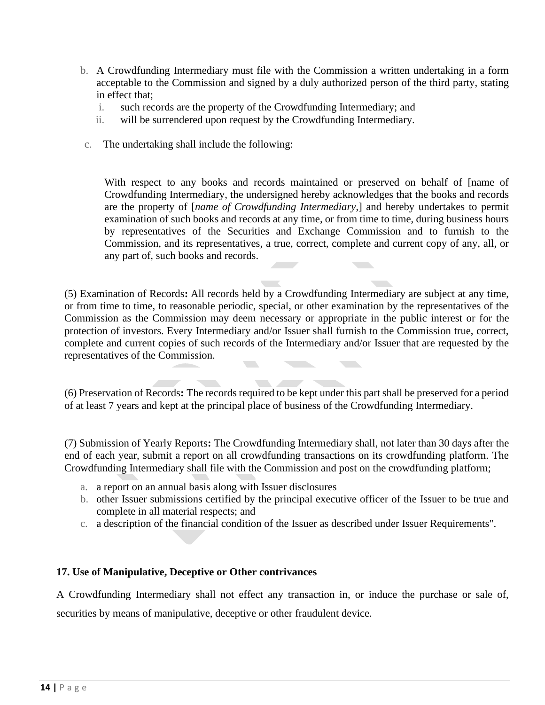- b. A Crowdfunding Intermediary must file with the Commission a written undertaking in a form acceptable to the Commission and signed by a duly authorized person of the third party, stating in effect that;
	- i. such records are the property of the Crowdfunding Intermediary; and
	- ii. will be surrendered upon request by the Crowdfunding Intermediary.
- c. The undertaking shall include the following:

With respect to any books and records maintained or preserved on behalf of [name of Crowdfunding Intermediary, the undersigned hereby acknowledges that the books and records are the property of [*name of Crowdfunding Intermediary*,] and hereby undertakes to permit examination of such books and records at any time, or from time to time, during business hours by representatives of the Securities and Exchange Commission and to furnish to the Commission, and its representatives, a true, correct, complete and current copy of any, all, or any part of, such books and records.

(5) Examination of Records**:** All records held by a Crowdfunding Intermediary are subject at any time, or from time to time, to reasonable periodic, special, or other examination by the representatives of the Commission as the Commission may deem necessary or appropriate in the public interest or for the protection of investors. Every Intermediary and/or Issuer shall furnish to the Commission true, correct, complete and current copies of such records of the Intermediary and/or Issuer that are requested by the representatives of the Commission.

(6) Preservation of Records**:** The records required to be kept under this part shall be preserved for a period of at least 7 years and kept at the principal place of business of the Crowdfunding Intermediary.

(7) Submission of Yearly Reports**:** The Crowdfunding Intermediary shall, not later than 30 days after the end of each year, submit a report on all crowdfunding transactions on its crowdfunding platform. The Crowdfunding Intermediary shall file with the Commission and post on the crowdfunding platform;

- a. a report on an annual basis along with Issuer disclosures
- b. other Issuer submissions certified by the principal executive officer of the Issuer to be true and complete in all material respects; and
- c. a description of the financial condition of the Issuer as described under Issuer Requirements".

## **17. Use of Manipulative, Deceptive or Other contrivances**

A Crowdfunding Intermediary shall not effect any transaction in, or induce the purchase or sale of, securities by means of manipulative, deceptive or other fraudulent device.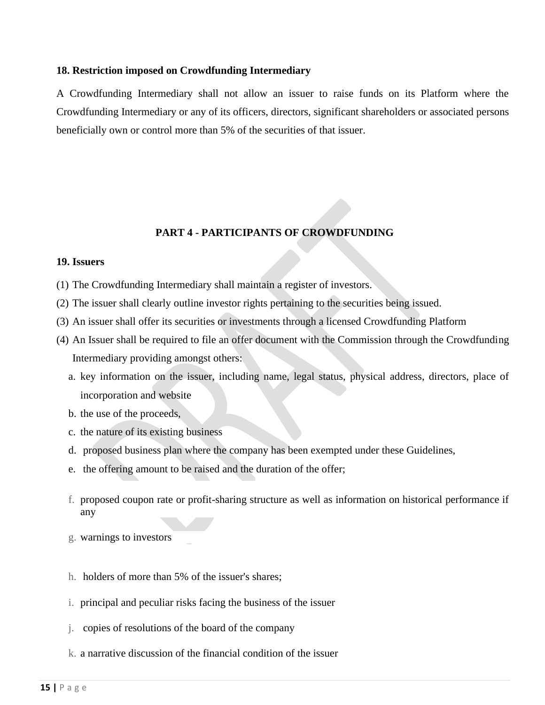#### **18. Restriction imposed on Crowdfunding Intermediary**

 A Crowdfunding Intermediary shall not allow an issuer to raise funds on its Platform where the Crowdfunding Intermediary or any of its officers, directors, significant shareholders or associated persons beneficially own or control more than 5% of the securities of that issuer.

## **PART 4 - PARTICIPANTS OF CROWDFUNDING**

#### **19. Issuers**

- (1) The Crowdfunding Intermediary shall maintain a register of investors.
- (2) The issuer shall clearly outline investor rights pertaining to the securities being issued.
- (3) An issuer shall offer its securities or investments through a licensed Crowdfunding Platform
- (4) An Issuer shall be required to file an offer document with the Commission through the Crowdfunding Intermediary providing amongst others:
	- a. key information on the issuer, including name, legal status, physical address, directors, place of incorporation and website
	- b. the use of the proceeds,
	- c. the nature of its existing business
	- d. proposed business plan where the company has been exempted under these Guidelines,
	- e. the offering amount to be raised and the duration of the offer;
	- f. proposed coupon rate or profit-sharing structure as well as information on historical performance if any
	- g. warnings to investors
	- h. holders of more than 5% of the issuer's shares;
	- i. principal and peculiar risks facing the business of the issuer
	- j. copies of resolutions of the board of the company
	- k. a narrative discussion of the financial condition of the issuer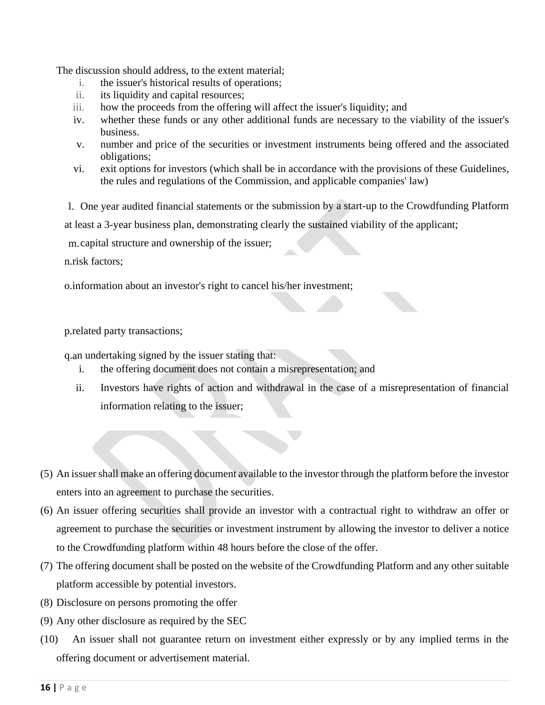The discussion should address, to the extent material;

- i. the issuer's historical results of operations;
- ii. its liquidity and capital resources;
- iii. how the proceeds from the offering will affect the issuer's liquidity; and
- iv. whether these funds or any other additional funds are necessary to the viability of the issuer's business.
- v. number and price of the securities or investment instruments being offered and the associated obligations;
- vi. exit options for investors (which shall be in accordance with the provisions of these Guidelines, the rules and regulations of the Commission, and applicable companies' law)

l. One year audited financial statements or the submission by a start-up to the Crowdfunding Platform

at least a 3-year business plan, demonstrating clearly the sustained viability of the applicant;

m.capital structure and ownership of the issuer;

n.risk factors;

o.information about an investor's right to cancel his/her investment;

p.related party transactions;

q.an undertaking signed by the issuer stating that:

- i. the offering document does not contain a misrepresentation; and
- ii. Investors have rights of action and withdrawal in the case of a misrepresentation of financial information relating to the issuer;
- (5) An issuer shall make an offering document available to the investor through the platform before the investor enters into an agreement to purchase the securities.
- (6) An issuer offering securities shall provide an investor with a contractual right to withdraw an offer or agreement to purchase the securities or investment instrument by allowing the investor to deliver a notice to the Crowdfunding platform within 48 hours before the close of the offer.
- (7) The offering document shall be posted on the website of the Crowdfunding Platform and any other suitable platform accessible by potential investors.
- (8) Disclosure on persons promoting the offer
- (9) Any other disclosure as required by the SEC
- (10) An issuer shall not guarantee return on investment either expressly or by any implied terms in the offering document or advertisement material.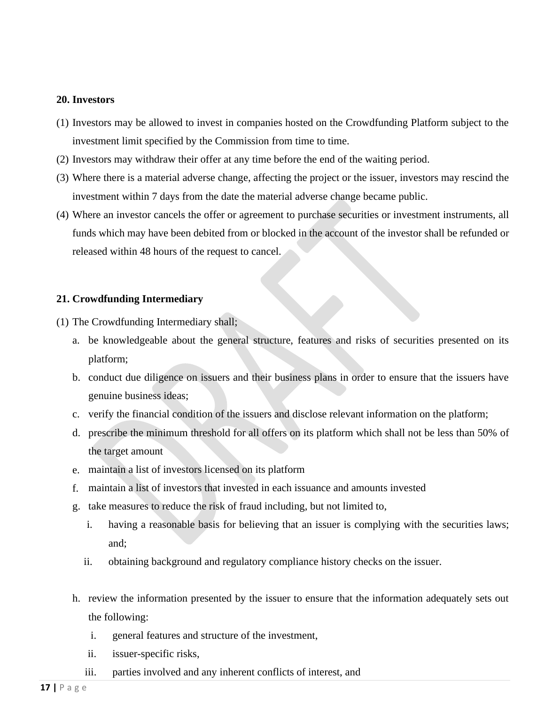#### **20. Investors**

- (1) Investors may be allowed to invest in companies hosted on the Crowdfunding Platform subject to the investment limit specified by the Commission from time to time.
- (2) Investors may withdraw their offer at any time before the end of the waiting period.
- (3) Where there is a material adverse change, affecting the project or the issuer, investors may rescind the investment within 7 days from the date the material adverse change became public.
- (4) Where an investor cancels the offer or agreement to purchase securities or investment instruments, all funds which may have been debited from or blocked in the account of the investor shall be refunded or released within 48 hours of the request to cancel.

## **21. Crowdfunding Intermediary**

- (1) The Crowdfunding Intermediary shall;
	- a. be knowledgeable about the general structure, features and risks of securities presented on its platform;
	- b. conduct due diligence on issuers and their business plans in order to ensure that the issuers have genuine business ideas;
	- c. verify the financial condition of the issuers and disclose relevant information on the platform;
	- d. prescribe the minimum threshold for all offers on its platform which shall not be less than 50% of the target amount
	- e. maintain a list of investors licensed on its platform
	- f. maintain a list of investors that invested in each issuance and amounts invested
	- g. take measures to reduce the risk of fraud including, but not limited to,
		- i. having a reasonable basis for believing that an issuer is complying with the securities laws; and;
		- ii. obtaining background and regulatory compliance history checks on the issuer.
	- h. review the information presented by the issuer to ensure that the information adequately sets out the following:
		- i. general features and structure of the investment,
		- ii. issuer-specific risks,
		- iii. parties involved and any inherent conflicts of interest, and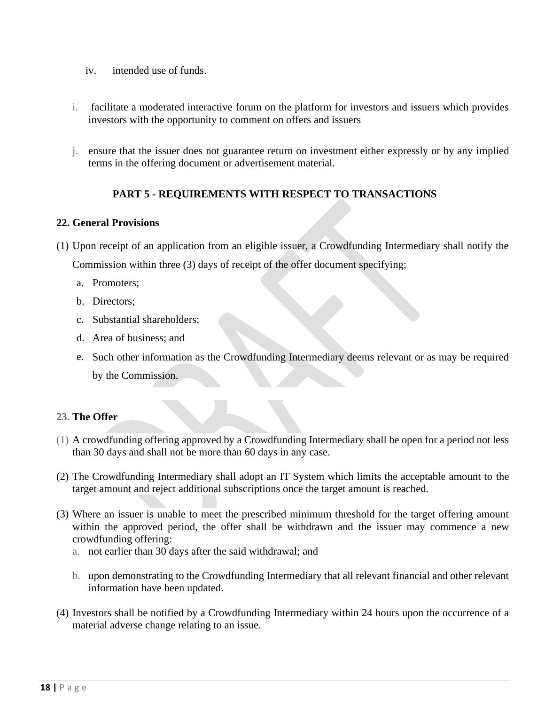- iv. intended use of funds.
- i. facilitate a moderated interactive forum on the platform for investors and issuers which provides investors with the opportunity to comment on offers and issuers
- j. ensure that the issuer does not guarantee return on investment either expressly or by any implied terms in the offering document or advertisement material.

## **PART 5 - REQUIREMENTS WITH RESPECT TO TRANSACTIONS**

## **22. General Provisions**

- (1) Upon receipt of an application from an eligible issuer, a Crowdfunding Intermediary shall notify the Commission within three (3) days of receipt of the offer document specifying;
	- a. Promoters;
	- b. Directors;
	- c. Substantial shareholders;
	- d. Area of business; and
	- e. Such other information as the Crowdfunding Intermediary deems relevant or as may be required by the Commission.

## **23. The Offer**

- (1) A crowdfunding offering approved by a Crowdfunding Intermediary shall be open for a period not less than 30 days and shall not be more than 60 days in any case.
- (2) The Crowdfunding Intermediary shall adopt an IT System which limits the acceptable amount to the target amount and reject additional subscriptions once the target amount is reached.
- (3) Where an issuer is unable to meet the prescribed minimum threshold for the target offering amount within the approved period, the offer shall be withdrawn and the issuer may commence a new crowdfunding offering:
	- a. not earlier than 30 days after the said withdrawal; and
	- b. upon demonstrating to the Crowdfunding Intermediary that all relevant financial and other relevant information have been updated.
- (4) Investors shall be notified by a Crowdfunding Intermediary within 24 hours upon the occurrence of a material adverse change relating to an issue.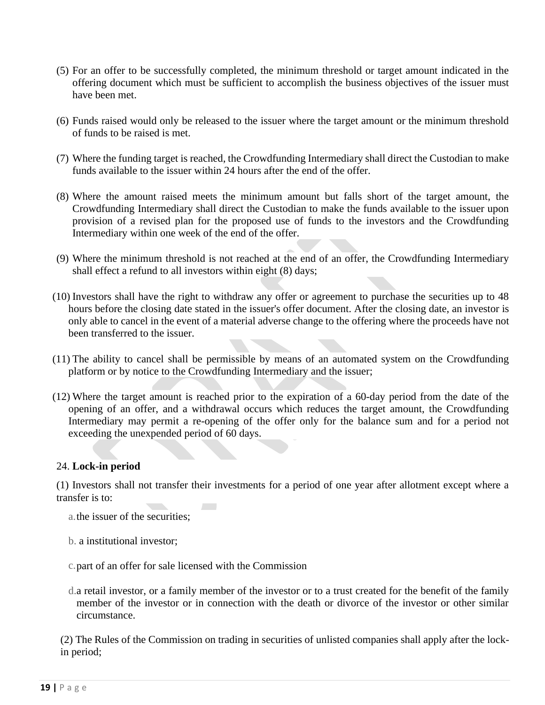- (5) For an offer to be successfully completed, the minimum threshold or target amount indicated in the offering document which must be sufficient to accomplish the business objectives of the issuer must have been met.
- (6) Funds raised would only be released to the issuer where the target amount or the minimum threshold of funds to be raised is met.
- (7) Where the funding target is reached, the Crowdfunding Intermediary shall direct the Custodian to make funds available to the issuer within 24 hours after the end of the offer.
- (8) Where the amount raised meets the minimum amount but falls short of the target amount, the Crowdfunding Intermediary shall direct the Custodian to make the funds available to the issuer upon provision of a revised plan for the proposed use of funds to the investors and the Crowdfunding Intermediary within one week of the end of the offer.
- (9) Where the minimum threshold is not reached at the end of an offer, the Crowdfunding Intermediary shall effect a refund to all investors within eight (8) days;
- (10) Investors shall have the right to withdraw any offer or agreement to purchase the securities up to 48 hours before the closing date stated in the issuer's offer document. After the closing date, an investor is only able to cancel in the event of a material adverse change to the offering where the proceeds have not been transferred to the issuer.
- (11) The ability to cancel shall be permissible by means of an automated system on the Crowdfunding platform or by notice to the Crowdfunding Intermediary and the issuer;
- (12) Where the target amount is reached prior to the expiration of a 60-day period from the date of the opening of an offer, and a withdrawal occurs which reduces the target amount, the Crowdfunding Intermediary may permit a re-opening of the offer only for the balance sum and for a period not exceeding the unexpended period of 60 days.

## 24. **Lock-in period**

(1) Investors shall not transfer their investments for a period of one year after allotment except where a transfer is to:

- a.the issuer of the securities;
- b. a institutional investor;
- c.part of an offer for sale licensed with the Commission
- d.a retail investor, or a family member of the investor or to a trust created for the benefit of the family member of the investor or in connection with the death or divorce of the investor or other similar circumstance.

(2) The Rules of the Commission on trading in securities of unlisted companies shall apply after the lockin period;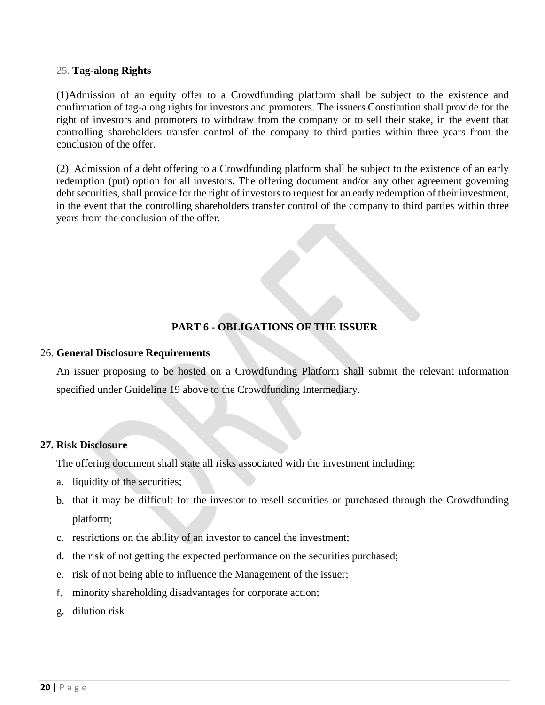#### 25. **Tag-along Rights**

(1)Admission of an equity offer to a Crowdfunding platform shall be subject to the existence and confirmation of tag-along rights for investors and promoters. The issuers Constitution shall provide for the right of investors and promoters to withdraw from the company or to sell their stake, in the event that controlling shareholders transfer control of the company to third parties within three years from the conclusion of the offer.

(2) Admission of a debt offering to a Crowdfunding platform shall be subject to the existence of an early redemption (put) option for all investors. The offering document and/or any other agreement governing debt securities, shall provide for the right of investors to request for an early redemption of their investment, in the event that the controlling shareholders transfer control of the company to third parties within three years from the conclusion of the offer.

## **PART 6 - OBLIGATIONS OF THE ISSUER**

#### 26. **General Disclosure Requirements**

An issuer proposing to be hosted on a Crowdfunding Platform shall submit the relevant information specified under Guideline 19 above to the Crowdfunding Intermediary.

## **27. Risk Disclosure**

The offering document shall state all risks associated with the investment including:

- a. liquidity of the securities;
- b. that it may be difficult for the investor to resell securities or purchased through the Crowdfunding platform;
- c. restrictions on the ability of an investor to cancel the investment;
- d. the risk of not getting the expected performance on the securities purchased;
- e. risk of not being able to influence the Management of the issuer;
- f. minority shareholding disadvantages for corporate action;
- g. dilution risk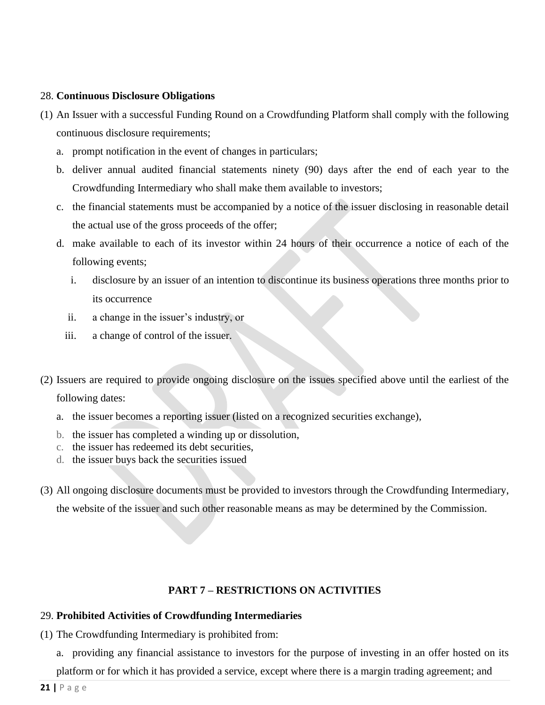## 28. **Continuous Disclosure Obligations**

- (1) An Issuer with a successful Funding Round on a Crowdfunding Platform shall comply with the following continuous disclosure requirements;
	- a. prompt notification in the event of changes in particulars;
	- b. deliver annual audited financial statements ninety (90) days after the end of each year to the Crowdfunding Intermediary who shall make them available to investors;
	- c. the financial statements must be accompanied by a notice of the issuer disclosing in reasonable detail the actual use of the gross proceeds of the offer;
	- d. make available to each of its investor within 24 hours of their occurrence a notice of each of the following events;
		- i. disclosure by an issuer of an intention to discontinue its business operations three months prior to its occurrence
		- ii. a change in the issuer's industry, or
		- iii. a change of control of the issuer.
- (2) Issuers are required to provide ongoing disclosure on the issues specified above until the earliest of the following dates:
	- a. the issuer becomes a reporting issuer (listed on a recognized securities exchange),
	- b. the issuer has completed a winding up or dissolution,
	- c. the issuer has redeemed its debt securities,
	- d. the issuer buys back the securities issued
- (3) All ongoing disclosure documents must be provided to investors through the Crowdfunding Intermediary, the website of the issuer and such other reasonable means as may be determined by the Commission.

## **PART 7 – RESTRICTIONS ON ACTIVITIES**

## 29. **Prohibited Activities of Crowdfunding Intermediaries**

- (1) The Crowdfunding Intermediary is prohibited from:
	- a. providing any financial assistance to investors for the purpose of investing in an offer hosted on its

platform or for which it has provided a service, except where there is a margin trading agreement; and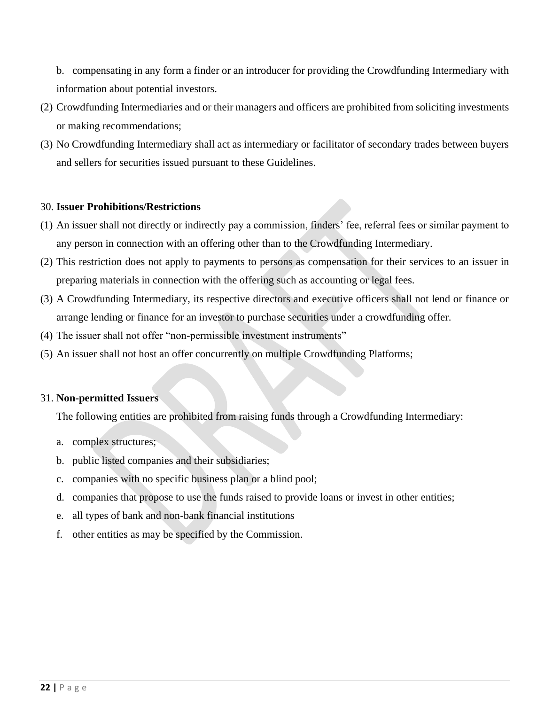b. compensating in any form a finder or an introducer for providing the Crowdfunding Intermediary with information about potential investors.

- (2) Crowdfunding Intermediaries and or their managers and officers are prohibited from soliciting investments or making recommendations;
- (3) No Crowdfunding Intermediary shall act as intermediary or facilitator of secondary trades between buyers and sellers for securities issued pursuant to these Guidelines.

## 30. **Issuer Prohibitions/Restrictions**

- (1) An issuer shall not directly or indirectly pay a commission, finders' fee, referral fees or similar payment to any person in connection with an offering other than to the Crowdfunding Intermediary.
- (2) This restriction does not apply to payments to persons as compensation for their services to an issuer in preparing materials in connection with the offering such as accounting or legal fees.
- (3) A Crowdfunding Intermediary, its respective directors and executive officers shall not lend or finance or arrange lending or finance for an investor to purchase securities under a crowdfunding offer.
- (4) The issuer shall not offer "non-permissible investment instruments"
- (5) An issuer shall not host an offer concurrently on multiple Crowdfunding Platforms;

## 31. **Non-permitted Issuers**

The following entities are prohibited from raising funds through a Crowdfunding Intermediary:

- a. complex structures;
- b. public listed companies and their subsidiaries;
- c. companies with no specific business plan or a blind pool;
- d. companies that propose to use the funds raised to provide loans or invest in other entities;
- e. all types of bank and non-bank financial institutions
- f. other entities as may be specified by the Commission.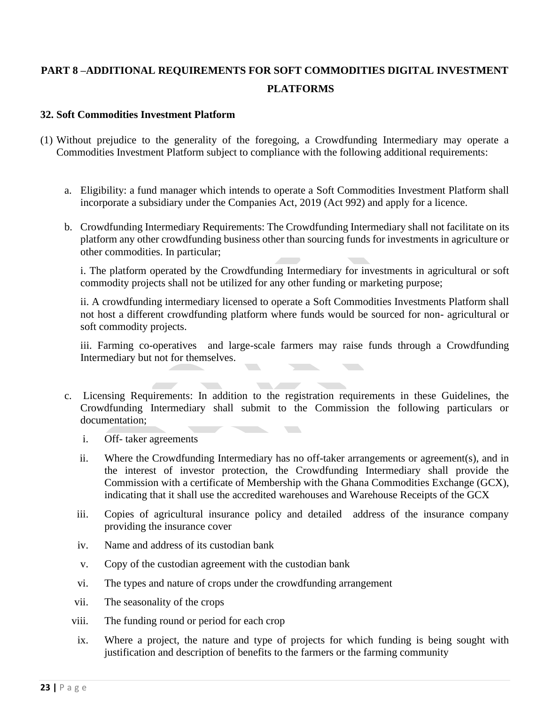# **PART 8 –ADDITIONAL REQUIREMENTS FOR SOFT COMMODITIES DIGITAL INVESTMENT PLATFORMS**

## **32. Soft Commodities Investment Platform**

- (1) Without prejudice to the generality of the foregoing, a Crowdfunding Intermediary may operate a Commodities Investment Platform subject to compliance with the following additional requirements:
	- a. Eligibility: a fund manager which intends to operate a Soft Commodities Investment Platform shall incorporate a subsidiary under the Companies Act, 2019 (Act 992) and apply for a licence.
	- b. Crowdfunding Intermediary Requirements: The Crowdfunding Intermediary shall not facilitate on its platform any other crowdfunding business other than sourcing funds for investments in agriculture or other commodities. In particular;

i. The platform operated by the Crowdfunding Intermediary for investments in agricultural or soft commodity projects shall not be utilized for any other funding or marketing purpose;

ii. A crowdfunding intermediary licensed to operate a Soft Commodities Investments Platform shall not host a different crowdfunding platform where funds would be sourced for non- agricultural or soft commodity projects.

iii. Farming co-operatives and large-scale farmers may raise funds through a Crowdfunding Intermediary but not for themselves.

- c. Licensing Requirements: In addition to the registration requirements in these Guidelines, the Crowdfunding Intermediary shall submit to the Commission the following particulars or documentation;  $\mathcal{L}(\mathcal{A})$ 
	- i. Off- taker agreements
	- ii. Where the Crowdfunding Intermediary has no off-taker arrangements or agreement(s), and in the interest of investor protection, the Crowdfunding Intermediary shall provide the Commission with a certificate of Membership with the Ghana Commodities Exchange (GCX), indicating that it shall use the accredited warehouses and Warehouse Receipts of the GCX
	- iii. Copies of agricultural insurance policy and detailed address of the insurance company providing the insurance cover
	- iv. Name and address of its custodian bank
	- v. Copy of the custodian agreement with the custodian bank
	- vi. The types and nature of crops under the crowdfunding arrangement
	- vii. The seasonality of the crops
	- viii. The funding round or period for each crop
	- ix. Where a project, the nature and type of projects for which funding is being sought with justification and description of benefits to the farmers or the farming community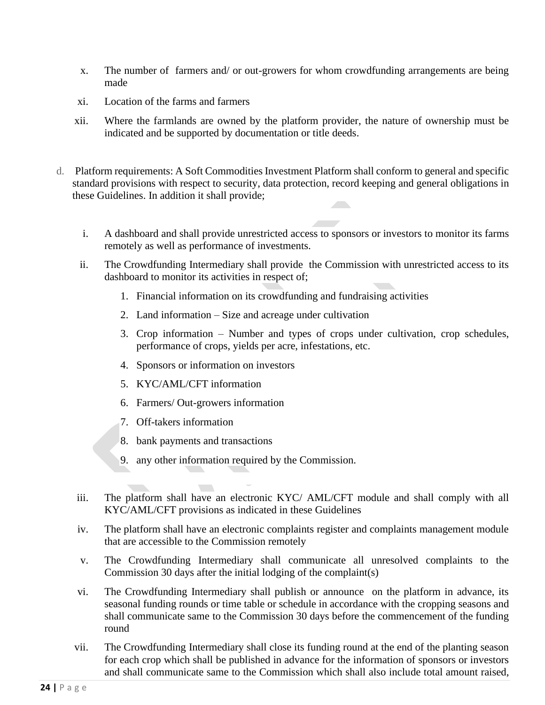- x. The number of farmers and/ or out-growers for whom crowdfunding arrangements are being made
- xi. Location of the farms and farmers
- xii. Where the farmlands are owned by the platform provider, the nature of ownership must be indicated and be supported by documentation or title deeds.
- d. Platform requirements: A Soft Commodities Investment Platform shall conform to general and specific standard provisions with respect to security, data protection, record keeping and general obligations in these Guidelines. In addition it shall provide;
	- i. A dashboard and shall provide unrestricted access to sponsors or investors to monitor its farms remotely as well as performance of investments.
	- ii. The Crowdfunding Intermediary shall provide the Commission with unrestricted access to its dashboard to monitor its activities in respect of;
		- 1. Financial information on its crowdfunding and fundraising activities
		- 2. Land information Size and acreage under cultivation
		- 3. Crop information Number and types of crops under cultivation, crop schedules, performance of crops, yields per acre, infestations, etc.
		- 4. Sponsors or information on investors
		- 5. KYC/AML/CFT information
		- 6. Farmers/ Out-growers information
		- 7. Off-takers information
		- 8. bank payments and transactions
		- 9. any other information required by the Commission.
	- iii. The platform shall have an electronic KYC/ AML/CFT module and shall comply with all KYC/AML/CFT provisions as indicated in these Guidelines
	- iv. The platform shall have an electronic complaints register and complaints management module that are accessible to the Commission remotely
	- v. The Crowdfunding Intermediary shall communicate all unresolved complaints to the Commission 30 days after the initial lodging of the complaint(s)
	- vi. The Crowdfunding Intermediary shall publish or announce on the platform in advance, its seasonal funding rounds or time table or schedule in accordance with the cropping seasons and shall communicate same to the Commission 30 days before the commencement of the funding round
	- vii. The Crowdfunding Intermediary shall close its funding round at the end of the planting season for each crop which shall be published in advance for the information of sponsors or investors and shall communicate same to the Commission which shall also include total amount raised,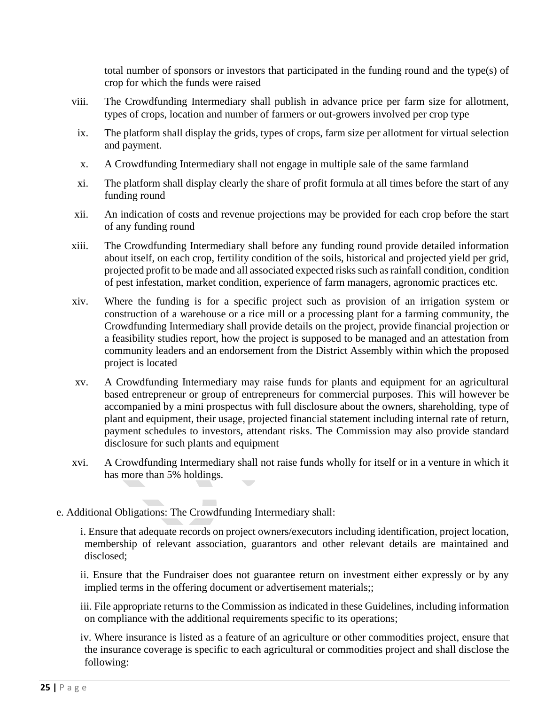total number of sponsors or investors that participated in the funding round and the type(s) of crop for which the funds were raised

- viii. The Crowdfunding Intermediary shall publish in advance price per farm size for allotment, types of crops, location and number of farmers or out-growers involved per crop type
- ix. The platform shall display the grids, types of crops, farm size per allotment for virtual selection and payment.
- x. A Crowdfunding Intermediary shall not engage in multiple sale of the same farmland
- xi. The platform shall display clearly the share of profit formula at all times before the start of any funding round
- xii. An indication of costs and revenue projections may be provided for each crop before the start of any funding round
- xiii. The Crowdfunding Intermediary shall before any funding round provide detailed information about itself, on each crop, fertility condition of the soils, historical and projected yield per grid, projected profit to be made and all associated expected risks such as rainfall condition, condition of pest infestation, market condition, experience of farm managers, agronomic practices etc.
- xiv. Where the funding is for a specific project such as provision of an irrigation system or construction of a warehouse or a rice mill or a processing plant for a farming community, the Crowdfunding Intermediary shall provide details on the project, provide financial projection or a feasibility studies report, how the project is supposed to be managed and an attestation from community leaders and an endorsement from the District Assembly within which the proposed project is located
- xv. A Crowdfunding Intermediary may raise funds for plants and equipment for an agricultural based entrepreneur or group of entrepreneurs for commercial purposes. This will however be accompanied by a mini prospectus with full disclosure about the owners, shareholding, type of plant and equipment, their usage, projected financial statement including internal rate of return, payment schedules to investors, attendant risks. The Commission may also provide standard disclosure for such plants and equipment
- xvi. A Crowdfunding Intermediary shall not raise funds wholly for itself or in a venture in which it has more than 5% holdings.
- e. Additional Obligations: The Crowdfunding Intermediary shall:

i. Ensure that adequate records on project owners/executors including identification, project location, membership of relevant association, guarantors and other relevant details are maintained and disclosed;

ii. Ensure that the Fundraiser does not guarantee return on investment either expressly or by any implied terms in the offering document or advertisement materials;;

iii. File appropriate returns to the Commission as indicated in these Guidelines, including information on compliance with the additional requirements specific to its operations;

iv. Where insurance is listed as a feature of an agriculture or other commodities project, ensure that the insurance coverage is specific to each agricultural or commodities project and shall disclose the following: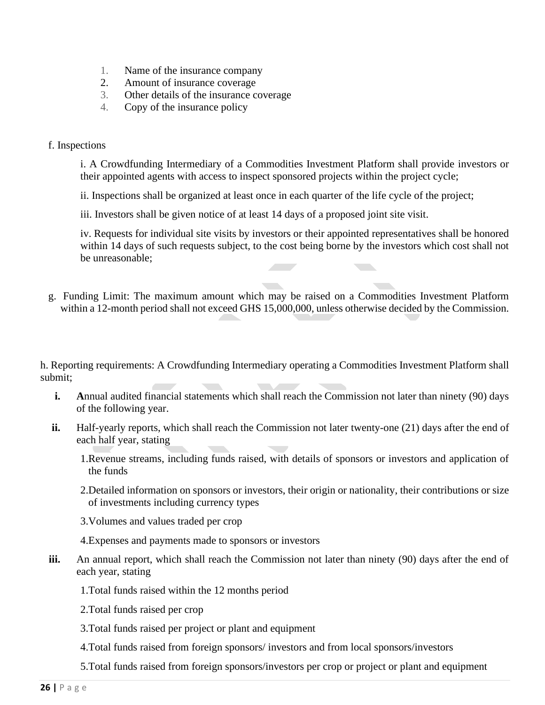- 1. Name of the insurance company
- 2. Amount of insurance coverage
- 3. Other details of the insurance coverage
- 4. Copy of the insurance policy

#### f. Inspections

i. A Crowdfunding Intermediary of a Commodities Investment Platform shall provide investors or their appointed agents with access to inspect sponsored projects within the project cycle;

ii. Inspections shall be organized at least once in each quarter of the life cycle of the project;

iii. Investors shall be given notice of at least 14 days of a proposed joint site visit.

iv. Requests for individual site visits by investors or their appointed representatives shall be honored within 14 days of such requests subject, to the cost being borne by the investors which cost shall not be unreasonable;

g. Funding Limit: The maximum amount which may be raised on a Commodities Investment Platform within a 12-month period shall not exceed GHS 15,000,000, unless otherwise decided by the Commission.

h. Reporting requirements: A Crowdfunding Intermediary operating a Commodities Investment Platform shall submit;

- **i.** Annual audited financial statements which shall reach the Commission not later than ninety (90) days of the following year.
- **ii.** Half-yearly reports, which shall reach the Commission not later twenty-one (21) days after the end of each half year, stating
	- 1.Revenue streams, including funds raised, with details of sponsors or investors and application of the funds
	- 2.Detailed information on sponsors or investors, their origin or nationality, their contributions or size of investments including currency types
	- 3.Volumes and values traded per crop
	- 4.Expenses and payments made to sponsors or investors
- **iii.** An annual report, which shall reach the Commission not later than ninety (90) days after the end of each year, stating

1.Total funds raised within the 12 months period

- 2.Total funds raised per crop
- 3.Total funds raised per project or plant and equipment
- 4.Total funds raised from foreign sponsors/ investors and from local sponsors/investors
- 5.Total funds raised from foreign sponsors/investors per crop or project or plant and equipment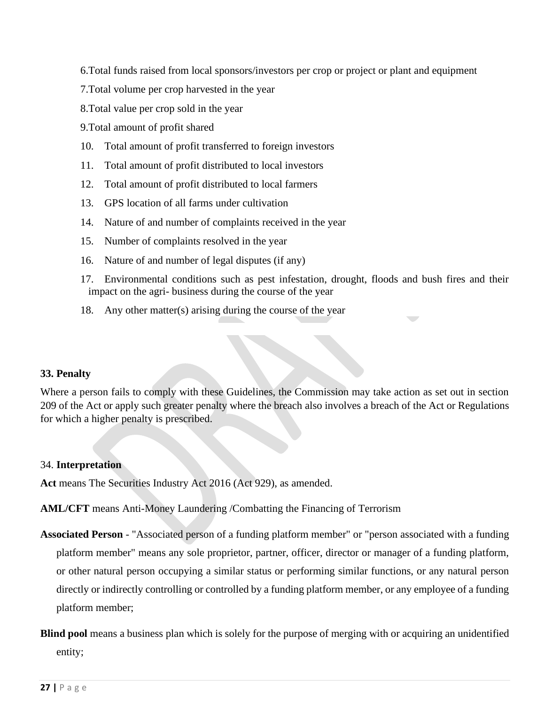6.Total funds raised from local sponsors/investors per crop or project or plant and equipment

- 7.Total volume per crop harvested in the year
- 8.Total value per crop sold in the year
- 9.Total amount of profit shared
- 10. Total amount of profit transferred to foreign investors
- 11. Total amount of profit distributed to local investors
- 12. Total amount of profit distributed to local farmers
- 13. GPS location of all farms under cultivation
- 14. Nature of and number of complaints received in the year
- 15. Number of complaints resolved in the year
- 16. Nature of and number of legal disputes (if any)
- 17. Environmental conditions such as pest infestation, drought, floods and bush fires and their impact on the agri- business during the course of the year
- 18. Any other matter(s) arising during the course of the year

## **33. Penalty**

Where a person fails to comply with these Guidelines, the Commission may take action as set out in section 209 of the Act or apply such greater penalty where the breach also involves a breach of the Act or Regulations for which a higher penalty is prescribed.

## 34. **Interpretation**

Act means The Securities Industry Act 2016 (Act 929), as amended.

**AML/CFT** means Anti-Money Laundering /Combatting the Financing of Terrorism

- **Associated Person**  "Associated person of a funding platform member" or "person associated with a funding platform member" means any sole proprietor, partner, officer, director or manager of a funding platform, or other natural person occupying a similar status or performing similar functions, or any natural person directly or indirectly controlling or controlled by a funding platform member, or any employee of a funding platform member;
- **Blind pool** means a business plan which is solely for the purpose of merging with or acquiring an unidentified entity;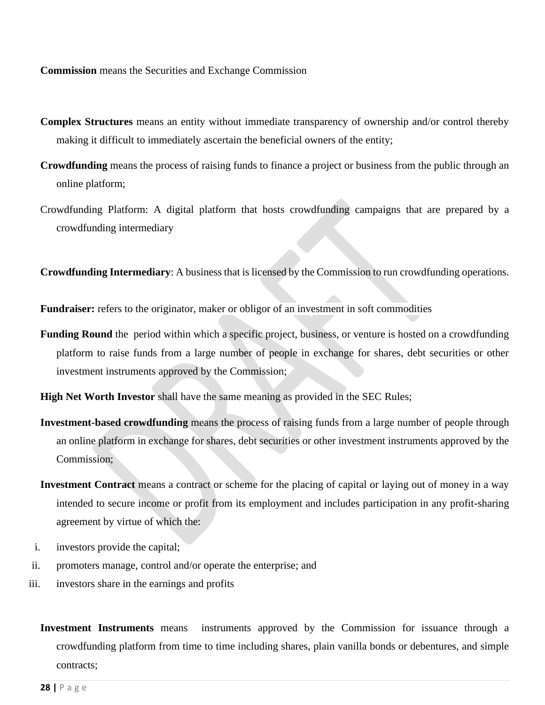**Commission** means the Securities and Exchange Commission

- **Complex Structures** means an entity without immediate transparency of ownership and/or control thereby making it difficult to immediately ascertain the beneficial owners of the entity;
- **Crowdfunding** means the process of raising funds to finance a project or business from the public through an online platform;
- Crowdfunding Platform: A digital platform that hosts crowdfunding campaigns that are prepared by a crowdfunding intermediary

**Crowdfunding Intermediary**: A business that is licensed by the Commission to run crowdfunding operations.

Fundraiser: refers to the originator, maker or obligor of an investment in soft commodities

**Funding Round** the period within which a specific project, business, or venture is hosted on a crowdfunding platform to raise funds from a large number of people in exchange for shares, debt securities or other investment instruments approved by the Commission;

**High Net Worth Investor** shall have the same meaning as provided in the SEC Rules;

- **Investment-based crowdfunding** means the process of raising funds from a large number of people through an online platform in exchange for shares, debt securities or other investment instruments approved by the Commission;
- **Investment Contract** means a contract or scheme for the placing of capital or laying out of money in a way intended to secure income or profit from its employment and includes participation in any profit-sharing agreement by virtue of which the:
- i. investors provide the capital;
- ii. promoters manage, control and/or operate the enterprise; and
- iii. investors share in the earnings and profits
	- **Investment Instruments** meansinstruments approved by the Commission for issuance through a crowdfunding platform from time to time including shares, plain vanilla bonds or debentures, and simple contracts;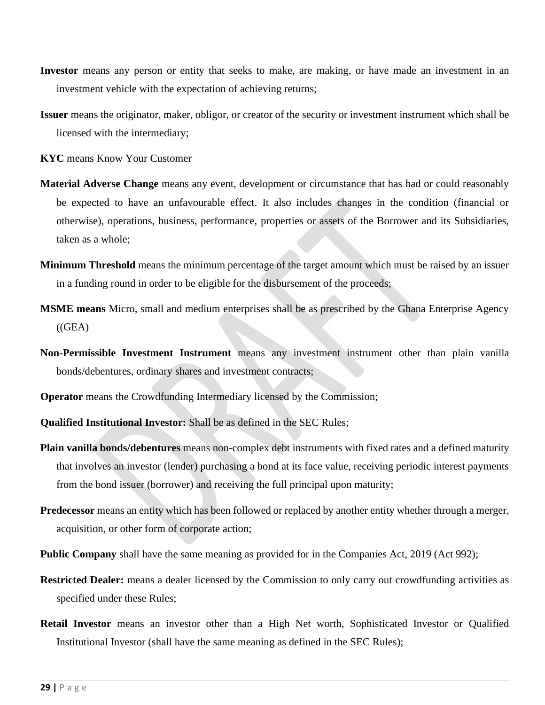- **Investor** means any person or entity that seeks to make, are making, or have made an investment in an investment vehicle with the expectation of achieving returns;
- **Issuer** means the originator, maker, obligor, or creator of the security or investment instrument which shall be licensed with the intermediary;
- **KYC** means Know Your Customer
- **Material Adverse Change** means any event, development or circumstance that has had or could reasonably be expected to have an unfavourable effect. It also includes changes in the condition (financial or otherwise), operations, business, performance, properties or assets of the Borrower and its Subsidiaries, taken as a whole;
- **Minimum Threshold** means the minimum percentage of the target amount which must be raised by an issuer in a funding round in order to be eligible for the disbursement of the proceeds;
- **MSME means** Micro, small and medium enterprises shall be as prescribed by the Ghana Enterprise Agency  $((GEA)$
- **Non-Permissible Investment Instrument** means any investment instrument other than plain vanilla bonds/debentures, ordinary shares and investment contracts;
- **Operator** means the Crowdfunding Intermediary licensed by the Commission;
- **Qualified Institutional Investor:** Shall be as defined in the SEC Rules;
- **Plain vanilla bonds/debentures** means non-complex debt instruments with fixed rates and a defined maturity that involves an investor (lender) purchasing a bond at its face value, receiving periodic interest payments from the bond issuer (borrower) and receiving the full principal upon maturity;
- **Predecessor** means an entity which has been followed or replaced by another entity whether through a merger, acquisition, or other form of corporate action;
- **Public Company** shall have the same meaning as provided for in the Companies Act, 2019 (Act 992);
- **Restricted Dealer:** means a dealer licensed by the Commission to only carry out crowdfunding activities as specified under these Rules;
- **Retail Investor** means an investor other than a High Net worth, Sophisticated Investor or Qualified Institutional Investor (shall have the same meaning as defined in the SEC Rules);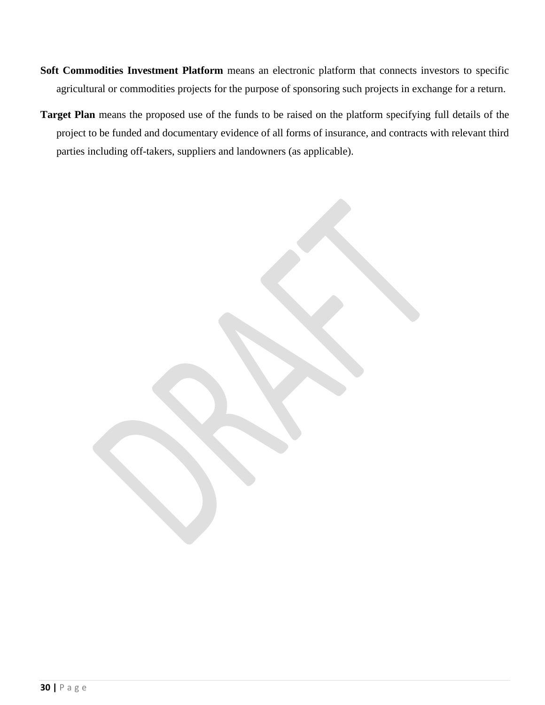- **Soft Commodities Investment Platform** means an electronic platform that connects investors to specific agricultural or commodities projects for the purpose of sponsoring such projects in exchange for a return.
- **Target Plan** means the proposed use of the funds to be raised on the platform specifying full details of the project to be funded and documentary evidence of all forms of insurance, and contracts with relevant third parties including off-takers, suppliers and landowners (as applicable).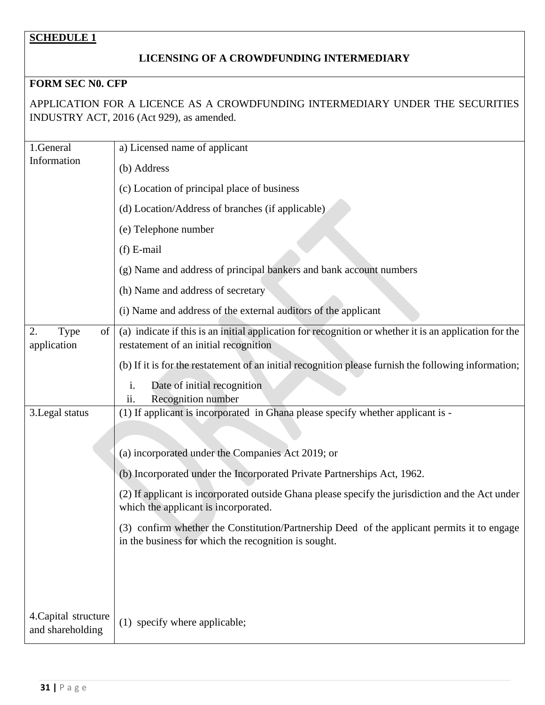# **SCHEDULE 1**

## **LICENSING OF A CROWDFUNDING INTERMEDIARY**

## **FORM SEC N0. CFP**

APPLICATION FOR A LICENCE AS A CROWDFUNDING INTERMEDIARY UNDER THE SECURITIES INDUSTRY ACT, 2016 (Act 929), as amended.

| 1.General                                | a) Licensed name of applicant                                                                                                                       |
|------------------------------------------|-----------------------------------------------------------------------------------------------------------------------------------------------------|
| Information                              | (b) Address                                                                                                                                         |
|                                          | (c) Location of principal place of business                                                                                                         |
|                                          | (d) Location/Address of branches (if applicable)                                                                                                    |
|                                          | (e) Telephone number                                                                                                                                |
|                                          | $(f)$ E-mail                                                                                                                                        |
|                                          | (g) Name and address of principal bankers and bank account numbers                                                                                  |
|                                          | (h) Name and address of secretary                                                                                                                   |
|                                          | (i) Name and address of the external auditors of the applicant                                                                                      |
| 2.<br><b>Type</b><br>of<br>application   | (a) indicate if this is an initial application for recognition or whether it is an application for the<br>restatement of an initial recognition     |
|                                          | (b) If it is for the restatement of an initial recognition please furnish the following information;                                                |
|                                          | Date of initial recognition<br>i.<br>Recognition number<br>11.                                                                                      |
| 3. Legal status                          | (1) If applicant is incorporated in Ghana please specify whether applicant is -                                                                     |
|                                          |                                                                                                                                                     |
|                                          | (a) incorporated under the Companies Act 2019; or                                                                                                   |
|                                          | (b) Incorporated under the Incorporated Private Partnerships Act, 1962.                                                                             |
|                                          | (2) If applicant is incorporated outside Ghana please specify the jurisdiction and the Act under<br>which the applicant is incorporated.            |
|                                          | (3) confirm whether the Constitution/Partnership Deed of the applicant permits it to engage<br>in the business for which the recognition is sought. |
|                                          |                                                                                                                                                     |
|                                          |                                                                                                                                                     |
|                                          |                                                                                                                                                     |
| 4. Capital structure<br>and shareholding | (1) specify where applicable;                                                                                                                       |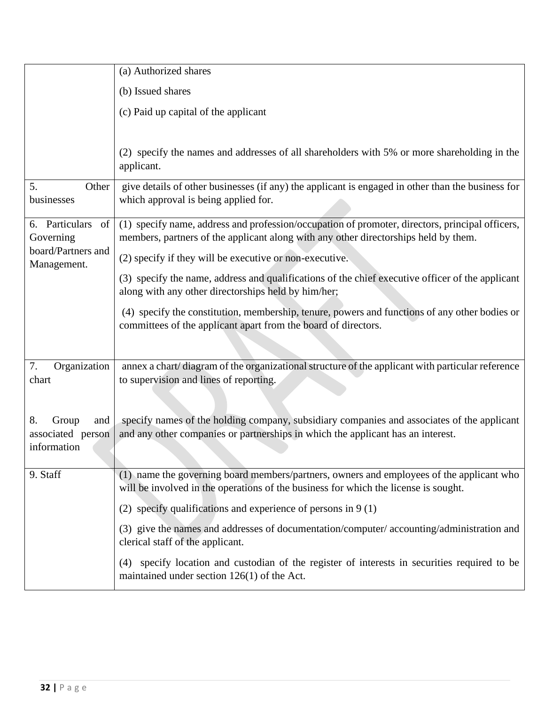|                                                        | (a) Authorized shares                                                                                                                                                                  |
|--------------------------------------------------------|----------------------------------------------------------------------------------------------------------------------------------------------------------------------------------------|
|                                                        | (b) Issued shares                                                                                                                                                                      |
|                                                        | (c) Paid up capital of the applicant                                                                                                                                                   |
|                                                        |                                                                                                                                                                                        |
|                                                        | (2) specify the names and addresses of all shareholders with 5% or more shareholding in the<br>applicant.                                                                              |
| 5.<br>Other<br>businesses                              | give details of other businesses (if any) the applicant is engaged in other than the business for<br>which approval is being applied for.                                              |
| 6. Particulars of<br>Governing                         | (1) specify name, address and profession/occupation of promoter, directors, principal officers,<br>members, partners of the applicant along with any other directorships held by them. |
| board/Partners and<br>Management.                      | (2) specify if they will be executive or non-executive.                                                                                                                                |
|                                                        | (3) specify the name, address and qualifications of the chief executive officer of the applicant<br>along with any other directorships held by him/her;                                |
|                                                        | (4) specify the constitution, membership, tenure, powers and functions of any other bodies or<br>committees of the applicant apart from the board of directors.                        |
| 7.<br>Organization                                     | annex a chart/diagram of the organizational structure of the applicant with particular reference                                                                                       |
| chart                                                  | to supervision and lines of reporting.                                                                                                                                                 |
|                                                        |                                                                                                                                                                                        |
| 8.<br>Group<br>and<br>associated person<br>information | specify names of the holding company, subsidiary companies and associates of the applicant<br>and any other companies or partnerships in which the applicant has an interest.          |
| 9. Staff                                               | (1) name the governing board members/partners, owners and employees of the applicant who<br>will be involved in the operations of the business for which the license is sought.        |
|                                                        | (2) specify qualifications and experience of persons in $9(1)$                                                                                                                         |
|                                                        | (3) give the names and addresses of documentation/computer/accounting/administration and<br>clerical staff of the applicant.                                                           |
|                                                        | specify location and custodian of the register of interests in securities required to be<br>(4)<br>maintained under section $126(1)$ of the Act.                                       |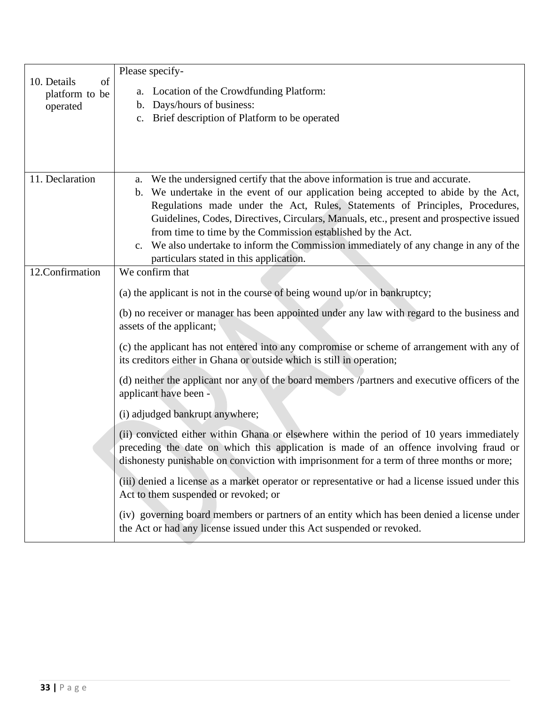|                                     | Please specify-                                                                                                                                                                                                                                                                 |
|-------------------------------------|---------------------------------------------------------------------------------------------------------------------------------------------------------------------------------------------------------------------------------------------------------------------------------|
| 10. Details<br>of<br>platform to be | a. Location of the Crowdfunding Platform:                                                                                                                                                                                                                                       |
| operated                            | b. Days/hours of business:                                                                                                                                                                                                                                                      |
|                                     | c. Brief description of Platform to be operated                                                                                                                                                                                                                                 |
|                                     |                                                                                                                                                                                                                                                                                 |
|                                     |                                                                                                                                                                                                                                                                                 |
|                                     |                                                                                                                                                                                                                                                                                 |
| 11. Declaration                     | a. We the undersigned certify that the above information is true and accurate.                                                                                                                                                                                                  |
|                                     | b. We undertake in the event of our application being accepted to abide by the Act,                                                                                                                                                                                             |
|                                     | Regulations made under the Act, Rules, Statements of Principles, Procedures,                                                                                                                                                                                                    |
|                                     | Guidelines, Codes, Directives, Circulars, Manuals, etc., present and prospective issued                                                                                                                                                                                         |
|                                     | from time to time by the Commission established by the Act.                                                                                                                                                                                                                     |
|                                     | c. We also undertake to inform the Commission immediately of any change in any of the                                                                                                                                                                                           |
| 12.Confirmation                     | particulars stated in this application.<br>We confirm that                                                                                                                                                                                                                      |
|                                     |                                                                                                                                                                                                                                                                                 |
|                                     | (a) the applicant is not in the course of being wound up/or in bankruptcy;                                                                                                                                                                                                      |
|                                     | (b) no receiver or manager has been appointed under any law with regard to the business and<br>assets of the applicant;                                                                                                                                                         |
|                                     | (c) the applicant has not entered into any compromise or scheme of arrangement with any of<br>its creditors either in Ghana or outside which is still in operation;                                                                                                             |
|                                     | (d) neither the applicant nor any of the board members /partners and executive officers of the<br>applicant have been -                                                                                                                                                         |
|                                     | (i) adjudged bankrupt anywhere;                                                                                                                                                                                                                                                 |
|                                     | (ii) convicted either within Ghana or elsewhere within the period of 10 years immediately<br>preceding the date on which this application is made of an offence involving fraud or<br>dishonesty punishable on conviction with imprisonment for a term of three months or more; |
|                                     | (iii) denied a license as a market operator or representative or had a license issued under this<br>Act to them suspended or revoked; or                                                                                                                                        |
|                                     | (iv) governing board members or partners of an entity which has been denied a license under<br>the Act or had any license issued under this Act suspended or revoked.                                                                                                           |